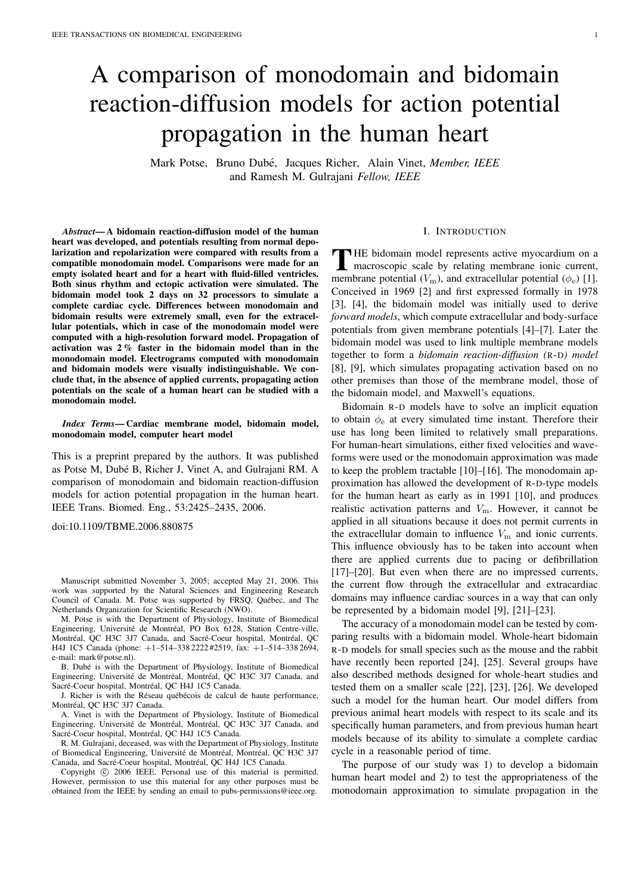# A comparison of monodomain and bidomain reaction-diffusion models for action potential propagation in the human heart

Mark Potse, Bruno Dubé, Jacques Richer, Alain Vinet, *Member, IEEE* and Ramesh M. Gulrajani *Fellow, IEEE*

*Abstract*— A bidomain reaction-diffusion model of the human heart was developed, and potentials resulting from normal depolarization and repolarization were compared with results from a compatible monodomain model. Comparisons were made for an empty isolated heart and for a heart with fluid-filled ventricles. Both sinus rhythm and ectopic activation were simulated. The bidomain model took 2 days on 32 processors to simulate a complete cardiac cycle. Differences between monodomain and bidomain results were extremely small, even for the extracellular potentials, which in case of the monodomain model were computed with a high-resolution forward model. Propagation of activation was 2 % faster in the bidomain model than in the monodomain model. Electrograms computed with monodomain and bidomain models were visually indistinguishable. We conclude that, in the absence of applied currents, propagating action potentials on the scale of a human heart can be studied with a monodomain model.

*Index Terms*— Cardiac membrane model, bidomain model, monodomain model, computer heart model

This is a preprint prepared by the authors. It was published as Potse M, Dubé B, Richer J, Vinet A, and Gulrajani RM. A comparison of monodomain and bidomain reaction-diffusion models for action potential propagation in the human heart. IEEE Trans. Biomed. Eng., 53:2425–2435, 2006.

doi:10.1109/TBME.2006.880875

Manuscript submitted November 3, 2005; accepted May 21, 2006. This work was supported by the Natural Sciences and Engineering Research Council of Canada. M. Potse was supported by FRSQ, Québec, and The Netherlands Organization for Scientific Research (NWO).

M. Potse is with the Department of Physiology, Institute of Biomedical Engineering, Université de Montréal, PO Box 6128, Station Centre-ville, Montréal, QC H3C 3J7 Canada, and Sacré-Coeur hospital, Montréal, QC H4J 1C5 Canada (phone: +1–514–338 2222 #2519, fax: +1–514–338 2694, e-mail: mark@potse.nl).

B. Dubé is with the Department of Physiology, Institute of Biomedical Engineering, Université de Montréal, Montréal, QC H3C 3J7 Canada, and Sacré-Coeur hospital, Montréal, QC H4J 1C5 Canada.

J. Richer is with the Réseau québécois de calcul de haute performance, Montréal, OC H3C 3J7 Canada.

A. Vinet is with the Department of Physiology, Institute of Biomedical Engineering, Université de Montréal, Montréal, QC H3C 3J7 Canada, and Sacré-Coeur hospital, Montréal, QC H4J 1C5 Canada.

R. M. Gulrajani, deceased, was with the Department of Physiology, Institute of Biomedical Engineering, Université de Montréal, Montréal, QC H3C 3J7 Canada, and Sacré-Coeur hospital, Montréal, QC H4J 1C5 Canada.

Copyright  $\odot$  2006 IEEE. Personal use of this material is permitted. However, permission to use this material for any other purposes must be obtained from the IEEE by sending an email to pubs-permissions@ieee.org.

## I. INTRODUCTION

THE bidomain model represents active myocardium on a<br>macroscopic scale by relating membrane ionic current,<br>manufagne activities ( $K$ ) and activities activities ( $\leftrightarrow$  11) **HE** bidomain model represents active myocardium on a membrane potential  $(V_{\text{m}})$ , and extracellular potential  $(\phi_{\text{e}})$  [1]. Conceived in 1969 [2] and first expressed formally in 1978 [3], [4], the bidomain model was initially used to derive *forward models*, which compute extracellular and body-surface potentials from given membrane potentials [4]–[7]. Later the bidomain model was used to link multiple membrane models together to form a *bidomain reaction-diffusion (*R-D*) model* [8], [9], which simulates propagating activation based on no other premises than those of the membrane model, those of the bidomain model, and Maxwell's equations.

Bidomain R-D models have to solve an implicit equation to obtain  $\phi_e$  at every simulated time instant. Therefore their use has long been limited to relatively small preparations. For human-heart simulations, either fixed velocities and waveforms were used or the monodomain approximation was made to keep the problem tractable [10]–[16]. The monodomain approximation has allowed the development of R-D-type models for the human heart as early as in 1991 [10], and produces realistic activation patterns and  $V_{\text{m}}$ . However, it cannot be applied in all situations because it does not permit currents in the extracellular domain to influence  $V_{\text{m}}$  and ionic currents. This influence obviously has to be taken into account when there are applied currents due to pacing or defibrillation [17]–[20]. But even when there are no impressed currents, the current flow through the extracellular and extracardiac domains may influence cardiac sources in a way that can only be represented by a bidomain model [9], [21]–[23].

The accuracy of a monodomain model can be tested by comparing results with a bidomain model. Whole-heart bidomain R-D models for small species such as the mouse and the rabbit have recently been reported [24], [25]. Several groups have also described methods designed for whole-heart studies and tested them on a smaller scale [22], [23], [26]. We developed such a model for the human heart. Our model differs from previous animal heart models with respect to its scale and its specifically human parameters, and from previous human heart models because of its ability to simulate a complete cardiac cycle in a reasonable period of time.

The purpose of our study was 1) to develop a bidomain human heart model and 2) to test the appropriateness of the monodomain approximation to simulate propagation in the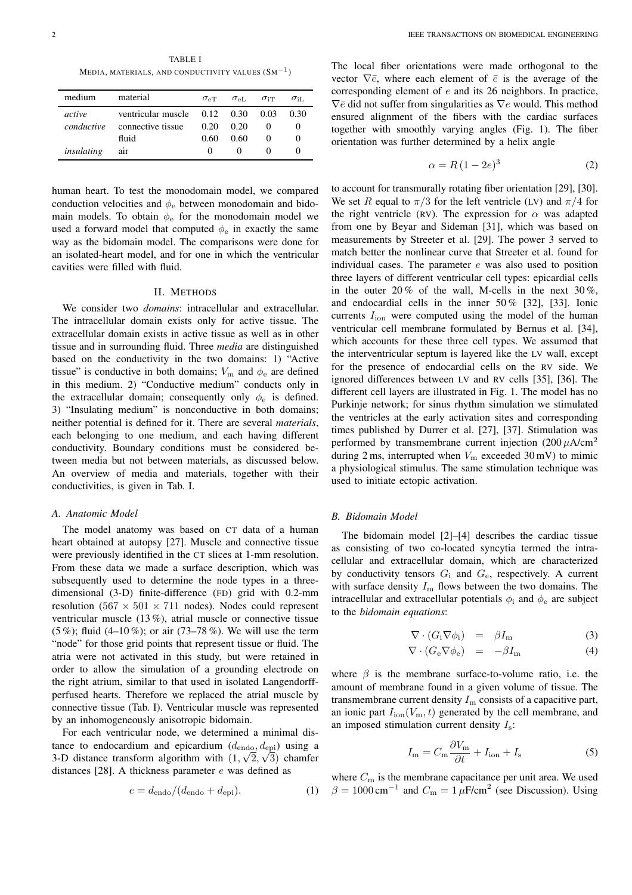TABLE I MEDIA, MATERIALS, AND CONDUCTIVITY VALUES  $(\mathrm{Sm}^{-1})$ 

| medium     | material                         | $\sigma_{\rm eT}$ | $\sigma_{\rm eL}$ | $\sigma_{\rm iT}$ | $\sigma$ iL |
|------------|----------------------------------|-------------------|-------------------|-------------------|-------------|
| active     | ventricular muscle $0.12$ $0.30$ |                   |                   | 0.03              | 0.30        |
| conductive | connective tissue                | 0.20              | 0.20              |                   |             |
|            | fluid                            | 0.60              | 0.60              |                   |             |
| insulating | air                              | $^{(1)}$          |                   |                   |             |

human heart. To test the monodomain model, we compared conduction velocities and  $\phi_e$  between monodomain and bidomain models. To obtain  $\phi_e$  for the monodomain model we used a forward model that computed  $\phi_e$  in exactly the same way as the bidomain model. The comparisons were done for an isolated-heart model, and for one in which the ventricular cavities were filled with fluid.

## II. METHODS

We consider two *domains*: intracellular and extracellular. The intracellular domain exists only for active tissue. The extracellular domain exists in active tissue as well as in other tissue and in surrounding fluid. Three *media* are distinguished based on the conductivity in the two domains: 1) "Active tissue" is conductive in both domains;  $V_{\text{m}}$  and  $\phi_{\text{e}}$  are defined in this medium. 2) "Conductive medium" conducts only in the extracellular domain; consequently only  $\phi_e$  is defined. 3) "Insulating medium" is nonconductive in both domains; neither potential is defined for it. There are several *materials*, each belonging to one medium, and each having different conductivity. Boundary conditions must be considered between media but not between materials, as discussed below. An overview of media and materials, together with their conductivities, is given in Tab. I.

## *A. Anatomic Model*

The model anatomy was based on CT data of a human heart obtained at autopsy [27]. Muscle and connective tissue were previously identified in the CT slices at 1-mm resolution. From these data we made a surface description, which was subsequently used to determine the node types in a threedimensional (3-D) finite-difference (FD) grid with 0.2-mm resolution  $(567 \times 501 \times 711)$  nodes). Nodes could represent ventricular muscle (13 %), atrial muscle or connective tissue  $(5\%)$ ; fluid  $(4-10\%)$ ; or air  $(73-78\%)$ . We will use the term "node" for those grid points that represent tissue or fluid. The atria were not activated in this study, but were retained in order to allow the simulation of a grounding electrode on the right atrium, similar to that used in isolated Langendorffperfused hearts. Therefore we replaced the atrial muscle by connective tissue (Tab. I). Ventricular muscle was represented by an inhomogeneously anisotropic bidomain.

For each ventricular node, we determined a minimal distance to endocardium and epicardium  $(d_{\text{endo}}, d_{\text{epi}})$  using a 3-D distance transform algorithm with  $(1, \sqrt{2}, \sqrt{3})$  chamfer distances [28]. A thickness parameter  $e$  was defined as

$$
e = d_{\text{endo}}/(d_{\text{endo}} + d_{\text{epi}}). \tag{1}
$$

The local fiber orientations were made orthogonal to the vector  $\nabla \bar{e}$ , where each element of  $\bar{e}$  is the average of the corresponding element of e and its 26 neighbors. In practice,  $\nabla \bar{e}$  did not suffer from singularities as  $\nabla e$  would. This method ensured alignment of the fibers with the cardiac surfaces together with smoothly varying angles (Fig. 1). The fiber orientation was further determined by a helix angle

$$
\alpha = R\left(1 - 2e\right)^3\tag{2}
$$

to account for transmurally rotating fiber orientation [29], [30]. We set R equal to  $\pi/3$  for the left ventricle (LV) and  $\pi/4$  for the right ventricle (RV). The expression for  $\alpha$  was adapted from one by Beyar and Sideman [31], which was based on measurements by Streeter et al. [29]. The power 3 served to match better the nonlinear curve that Streeter et al. found for individual cases. The parameter  $e$  was also used to position three layers of different ventricular cell types: epicardial cells in the outer 20% of the wall, M-cells in the next  $30\%$ , and endocardial cells in the inner 50 % [32], [33]. Ionic currents  $I_{\text{ion}}$  were computed using the model of the human ventricular cell membrane formulated by Bernus et al. [34], which accounts for these three cell types. We assumed that the interventricular septum is layered like the LV wall, except for the presence of endocardial cells on the RV side. We ignored differences between LV and RV cells [35], [36]. The different cell layers are illustrated in Fig. 1. The model has no Purkinje network; for sinus rhythm simulation we stimulated the ventricles at the early activation sites and corresponding times published by Durrer et al. [27], [37]. Stimulation was performed by transmembrane current injection  $(200 \mu A/cm^2)$ during 2 ms, interrupted when  $V<sub>m</sub>$  exceeded 30 mV) to mimic a physiological stimulus. The same stimulation technique was used to initiate ectopic activation.

## *B. Bidomain Model*

The bidomain model [2]–[4] describes the cardiac tissue as consisting of two co-located syncytia termed the intracellular and extracellular domain, which are characterized by conductivity tensors  $G_i$  and  $G_e$ , respectively. A current with surface density  $I<sub>m</sub>$  flows between the two domains. The intracellular and extracellular potentials  $\phi_i$  and  $\phi_e$  are subject to the *bidomain equations*:

$$
\nabla \cdot (G_i \nabla \phi_i) = \beta I_m \tag{3}
$$

$$
\nabla \cdot (G_{\rm e} \nabla \phi_{\rm e}) = -\beta I_{\rm m} \tag{4}
$$

where  $\beta$  is the membrane surface-to-volume ratio, i.e. the amount of membrane found in a given volume of tissue. The transmembrane current density  $I<sub>m</sub>$  consists of a capacitive part, an ionic part  $I_{\text{ion}}(V_{\text{m}}, t)$  generated by the cell membrane, and an imposed stimulation current density  $I_s$ :

$$
I_{\rm m} = C_{\rm m} \frac{\partial V_{\rm m}}{\partial t} + I_{\rm ion} + I_{\rm s} \tag{5}
$$

where  $C_m$  is the membrane capacitance per unit area. We used  $\beta = 1000 \text{ cm}^{-1}$  and  $C_{\text{m}} = 1 \mu \text{F/cm}^2$  (see Discussion). Using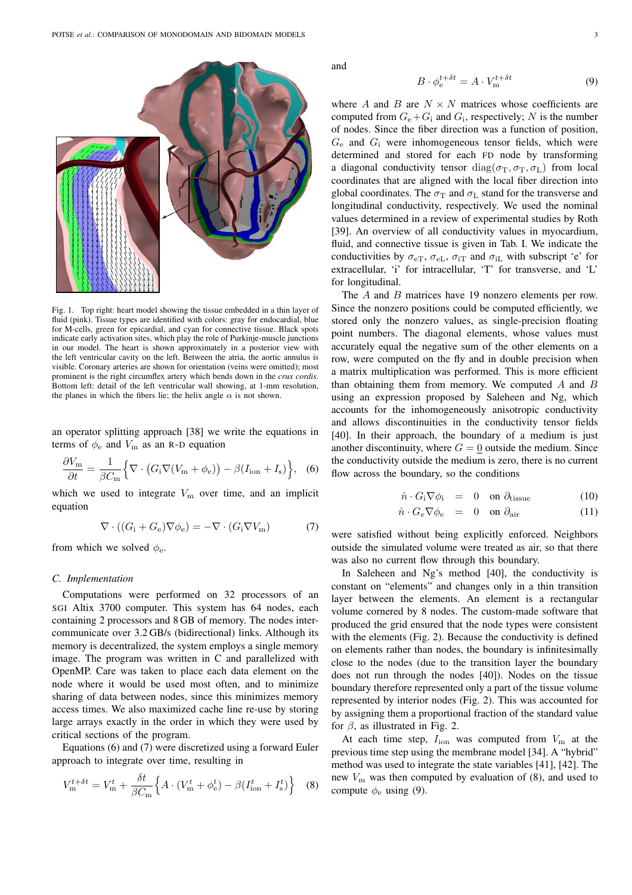

Fig. 1. Top right: heart model showing the tissue embedded in a thin layer of fluid (pink). Tissue types are identified with colors: gray for endocardial, blue for M-cells, green for epicardial, and cyan for connective tissue. Black spots indicate early activation sites, which play the role of Purkinje-muscle junctions in our model. The heart is shown approximately in a posterior view with the left ventricular cavity on the left. Between the atria, the aortic annulus is visible. Coronary arteries are shown for orientation (veins were omitted); most prominent is the right circumflex artery which bends down in the *crux cordis*. Bottom left: detail of the left ventricular wall showing, at 1-mm resolution, the planes in which the fibers lie; the helix angle  $\alpha$  is not shown.

an operator splitting approach [38] we write the equations in terms of  $\phi_e$  and  $V_m$  as an R-D equation

$$
\frac{\partial V_{\rm m}}{\partial t} = \frac{1}{\beta C_{\rm m}} \Big\{ \nabla \cdot \big( G_{\rm i} \nabla (V_{\rm m} + \phi_{\rm e}) \big) - \beta (I_{\rm ion} + I_{\rm s}) \Big\}, \quad (6)
$$

which we used to integrate  $V<sub>m</sub>$  over time, and an implicit equation

$$
\nabla \cdot ((G_{\rm i} + G_{\rm e}) \nabla \phi_{\rm e}) = -\nabla \cdot (G_{\rm i} \nabla V_{\rm m}) \tag{7}
$$

from which we solved  $\phi_e$ .

## *C. Implementation*

Computations were performed on 32 processors of an SGI Altix 3700 computer. This system has 64 nodes, each containing 2 processors and 8 GB of memory. The nodes intercommunicate over 3.2 GB/s (bidirectional) links. Although its memory is decentralized, the system employs a single memory image. The program was written in C and parallelized with OpenMP. Care was taken to place each data element on the node where it would be used most often, and to minimize sharing of data between nodes, since this minimizes memory access times. We also maximized cache line re-use by storing large arrays exactly in the order in which they were used by critical sections of the program.

Equations (6) and (7) were discretized using a forward Euler approach to integrate over time, resulting in

$$
V_{\rm m}^{t+\delta t} = V_{\rm m}^t + \frac{\delta t}{\beta C_{\rm m}} \Big\{ A \cdot (V_{\rm m}^t + \phi_{\rm e}^t) - \beta (I_{\rm ion}^t + I_{\rm s}^t) \Big\} \tag{8}
$$

and

$$
B \cdot \phi_e^{t + \delta t} = A \cdot V_{\text{m}}^{t + \delta t} \tag{9}
$$

where A and B are  $N \times N$  matrices whose coefficients are computed from  $G_e + G_i$  and  $G_i$ , respectively; N is the number of nodes. Since the fiber direction was a function of position,  $G_e$  and  $G_i$  were inhomogeneous tensor fields, which were determined and stored for each FD node by transforming a diagonal conductivity tensor  $diag(\sigma_T, \sigma_T, \sigma_L)$  from local coordinates that are aligned with the local fiber direction into global coordinates. The  $\sigma_{\rm T}$  and  $\sigma_{\rm L}$  stand for the transverse and longitudinal conductivity, respectively. We used the nominal values determined in a review of experimental studies by Roth [39]. An overview of all conductivity values in myocardium, fluid, and connective tissue is given in Tab. I. We indicate the conductivities by  $\sigma_{eT}$ ,  $\sigma_{eL}$ ,  $\sigma_{iT}$  and  $\sigma_{iL}$  with subscript 'e' for extracellular, 'i' for intracellular, 'T' for transverse, and 'L' for longitudinal.

The A and B matrices have 19 nonzero elements per row. Since the nonzero positions could be computed efficiently, we stored only the nonzero values, as single-precision floating point numbers. The diagonal elements, whose values must accurately equal the negative sum of the other elements on a row, were computed on the fly and in double precision when a matrix multiplication was performed. This is more efficient than obtaining them from memory. We computed  $A$  and  $B$ using an expression proposed by Saleheen and Ng, which accounts for the inhomogeneously anisotropic conductivity and allows discontinuities in the conductivity tensor fields [40]. In their approach, the boundary of a medium is just another discontinuity, where  $G = 0$  outside the medium. Since the conductivity outside the medium is zero, there is no current flow across the boundary, so the conditions

$$
\hat{n} \cdot G_{\rm i} \nabla \phi_{\rm i} = 0 \quad \text{on } \partial_{\rm tissue} \tag{10}
$$

$$
\hat{n} \cdot G_{\rm e} \nabla \phi_{\rm e} = 0 \quad \text{on } \partial_{\rm air} \tag{11}
$$

were satisfied without being explicitly enforced. Neighbors outside the simulated volume were treated as air, so that there was also no current flow through this boundary.

In Saleheen and Ng's method [40], the conductivity is constant on "elements" and changes only in a thin transition layer between the elements. An element is a rectangular volume cornered by 8 nodes. The custom-made software that produced the grid ensured that the node types were consistent with the elements (Fig. 2). Because the conductivity is defined on elements rather than nodes, the boundary is infinitesimally close to the nodes (due to the transition layer the boundary does not run through the nodes [40]). Nodes on the tissue boundary therefore represented only a part of the tissue volume represented by interior nodes (Fig. 2). This was accounted for by assigning them a proportional fraction of the standard value for  $\beta$ , as illustrated in Fig. 2.

At each time step,  $I_{\text{ion}}$  was computed from  $V_{\text{m}}$  at the previous time step using the membrane model [34]. A "hybrid" method was used to integrate the state variables [41], [42]. The new  $V_{\rm m}$  was then computed by evaluation of (8), and used to compute  $\phi_e$  using (9).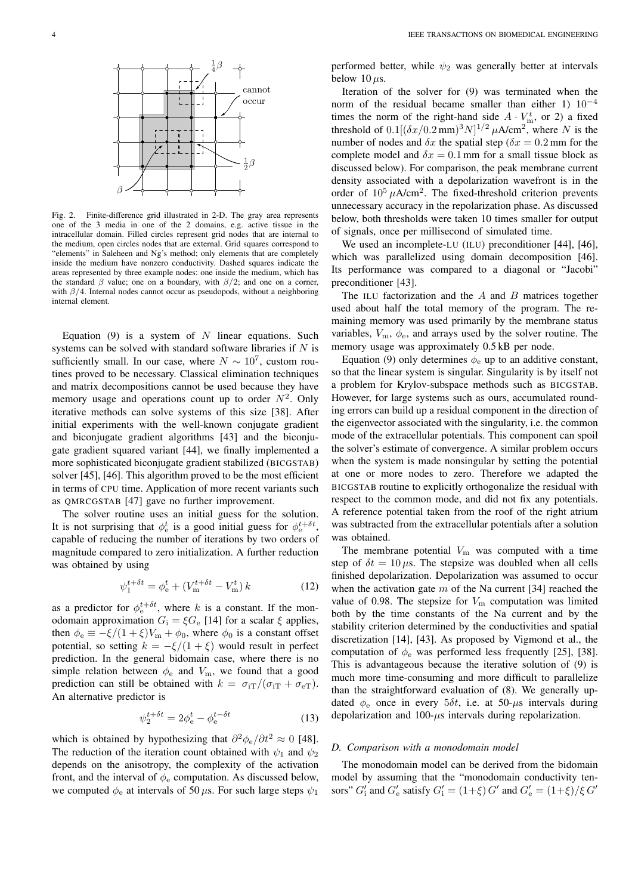

Fig. 2. Finite-difference grid illustrated in 2-D. The gray area represents one of the 3 media in one of the 2 domains, e.g. active tissue in the intracellular domain. Filled circles represent grid nodes that are internal to the medium, open circles nodes that are external. Grid squares correspond to "elements" in Saleheen and Ng's method; only elements that are completely inside the medium have nonzero conductivity. Dashed squares indicate the areas represented by three example nodes: one inside the medium, which has the standard  $\beta$  value; one on a boundary, with  $\beta/2$ ; and one on a corner, with  $\beta/4$ . Internal nodes cannot occur as pseudopods, without a neighboring internal element.

Equation (9) is a system of  $N$  linear equations. Such systems can be solved with standard software libraries if  $N$  is sufficiently small. In our case, where  $N \sim 10^7$ , custom routines proved to be necessary. Classical elimination techniques and matrix decompositions cannot be used because they have memory usage and operations count up to order  $N^2$ . Only iterative methods can solve systems of this size [38]. After initial experiments with the well-known conjugate gradient and biconjugate gradient algorithms [43] and the biconjugate gradient squared variant [44], we finally implemented a more sophisticated biconjugate gradient stabilized (BICGSTAB) solver [45], [46]. This algorithm proved to be the most efficient in terms of CPU time. Application of more recent variants such as QMRCGSTAB [47] gave no further improvement.

The solver routine uses an initial guess for the solution. It is not surprising that  $\phi_e^t$  is a good initial guess for  $\phi_e^{t+\delta t}$ , capable of reducing the number of iterations by two orders of magnitude compared to zero initialization. A further reduction was obtained by using

$$
\psi_1^{t + \delta t} = \phi_e^t + (V_{\rm m}^{t + \delta t} - V_{\rm m}^t) k \tag{12}
$$

as a predictor for  $\phi_e^{t+\delta t}$ , where k is a constant. If the monodomain approximation  $G_i = \xi G_e$  [14] for a scalar  $\xi$  applies, then  $\phi_e \equiv -\xi/(1+\xi)V_m + \phi_0$ , where  $\phi_0$  is a constant offset potential, so setting  $k = -\xi/(1 + \xi)$  would result in perfect prediction. In the general bidomain case, where there is no simple relation between  $\phi_e$  and  $V_m$ , we found that a good prediction can still be obtained with  $k = \sigma_{\text{iT}}/(\sigma_{\text{iT}} + \sigma_{\text{eT}})$ . An alternative predictor is

$$
\psi_2^{t+\delta t} = 2\phi_e^t - \phi_e^{t-\delta t} \tag{13}
$$

which is obtained by hypothesizing that  $\partial^2 \phi_e / \partial t^2 \approx 0$  [48]. The reduction of the iteration count obtained with  $\psi_1$  and  $\psi_2$ depends on the anisotropy, the complexity of the activation front, and the interval of  $\phi_e$  computation. As discussed below, we computed  $\phi_e$  at intervals of 50  $\mu$ s. For such large steps  $\psi_1$ 

performed better, while  $\psi_2$  was generally better at intervals below 10  $\mu$ s.

Iteration of the solver for (9) was terminated when the norm of the residual became smaller than either 1)  $10^{-4}$ times the norm of the right-hand side  $A \cdot V_{\text{m}}^{t}$ , or 2) a fixed threshold of  $0.1[(\delta x/0.2 \text{ mm})^3 N]^{1/2} \mu \text{A/cm}^2$ , where N is the number of nodes and  $\delta x$  the spatial step ( $\delta x = 0.2$  mm for the complete model and  $\delta x = 0.1$  mm for a small tissue block as discussed below). For comparison, the peak membrane current density associated with a depolarization wavefront is in the order of  $10^5 \mu A/cm^2$ . The fixed-threshold criterion prevents unnecessary accuracy in the repolarization phase. As discussed below, both thresholds were taken 10 times smaller for output of signals, once per millisecond of simulated time.

We used an incomplete-LU (ILU) preconditioner [44], [46], which was parallelized using domain decomposition [46]. Its performance was compared to a diagonal or "Jacobi" preconditioner [43].

The ILU factorization and the  $A$  and  $B$  matrices together used about half the total memory of the program. The remaining memory was used primarily by the membrane status variables,  $V_{\rm m}$ ,  $\phi_{\rm e}$ , and arrays used by the solver routine. The memory usage was approximately 0.5 kB per node.

Equation (9) only determines  $\phi_e$  up to an additive constant, so that the linear system is singular. Singularity is by itself not a problem for Krylov-subspace methods such as BICGSTAB. However, for large systems such as ours, accumulated rounding errors can build up a residual component in the direction of the eigenvector associated with the singularity, i.e. the common mode of the extracellular potentials. This component can spoil the solver's estimate of convergence. A similar problem occurs when the system is made nonsingular by setting the potential at one or more nodes to zero. Therefore we adapted the BICGSTAB routine to explicitly orthogonalize the residual with respect to the common mode, and did not fix any potentials. A reference potential taken from the roof of the right atrium was subtracted from the extracellular potentials after a solution was obtained.

The membrane potential  $V<sub>m</sub>$  was computed with a time step of  $\delta t = 10 \,\mu s$ . The stepsize was doubled when all cells finished depolarization. Depolarization was assumed to occur when the activation gate  $m$  of the Na current [34] reached the value of 0.98. The stepsize for  $V<sub>m</sub>$  computation was limited both by the time constants of the Na current and by the stability criterion determined by the conductivities and spatial discretization [14], [43]. As proposed by Vigmond et al., the computation of  $\phi_e$  was performed less frequently [25], [38]. This is advantageous because the iterative solution of (9) is much more time-consuming and more difficult to parallelize than the straightforward evaluation of (8). We generally updated  $\phi_e$  once in every 5 $\delta t$ , i.e. at 50- $\mu$ s intervals during depolarization and  $100 - \mu s$  intervals during repolarization.

#### *D. Comparison with a monodomain model*

The monodomain model can be derived from the bidomain model by assuming that the "monodomain conductivity tensors"  $G'_i$  and  $G'_e$  satisfy  $G'_i = (1+\xi) G'$  and  $G'_e = (1+\xi)/\xi G'$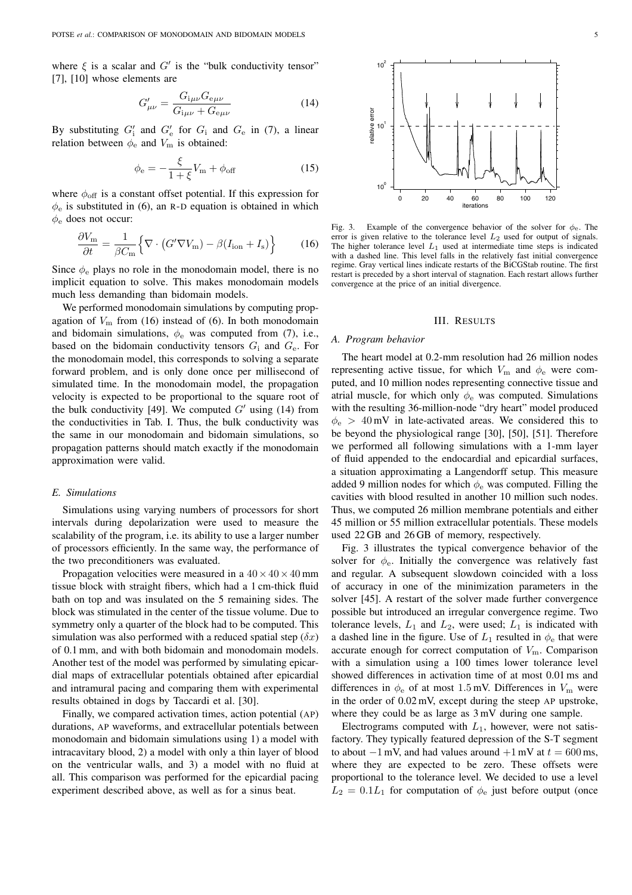where  $\xi$  is a scalar and  $G'$  is the "bulk conductivity tensor" [7], [10] whose elements are

$$
G'_{\mu\nu} = \frac{G_{i\mu\nu} G_{e\mu\nu}}{G_{i\mu\nu} + G_{e\mu\nu}}
$$
(14)

By substituting  $G'_{i}$  and  $G'_{e}$  for  $G_{i}$  and  $G_{e}$  in (7), a linear relation between  $\phi_e$  and  $V_m$  is obtained:

$$
\phi_{\rm e} = -\frac{\xi}{1+\xi}V_{\rm m} + \phi_{\rm off} \tag{15}
$$

where  $\phi_{\text{off}}$  is a constant offset potential. If this expression for  $\phi_e$  is substituted in (6), an R-D equation is obtained in which  $\phi_e$  does not occur:

$$
\frac{\partial V_{\rm m}}{\partial t} = \frac{1}{\beta C_{\rm m}} \Big\{ \nabla \cdot \big( G' \nabla V_{\rm m} \big) - \beta (I_{\rm ion} + I_{\rm s}) \Big\} \tag{16}
$$

Since  $\phi_e$  plays no role in the monodomain model, there is no implicit equation to solve. This makes monodomain models much less demanding than bidomain models.

We performed monodomain simulations by computing propagation of  $V<sub>m</sub>$  from (16) instead of (6). In both monodomain and bidomain simulations,  $\phi_e$  was computed from (7), i.e., based on the bidomain conductivity tensors  $G_i$  and  $G_e$ . For the monodomain model, this corresponds to solving a separate forward problem, and is only done once per millisecond of simulated time. In the monodomain model, the propagation velocity is expected to be proportional to the square root of the bulk conductivity [49]. We computed  $G'$  using (14) from the conductivities in Tab. I. Thus, the bulk conductivity was the same in our monodomain and bidomain simulations, so propagation patterns should match exactly if the monodomain approximation were valid.

## *E. Simulations*

Simulations using varying numbers of processors for short intervals during depolarization were used to measure the scalability of the program, i.e. its ability to use a larger number of processors efficiently. In the same way, the performance of the two preconditioners was evaluated.

Propagation velocities were measured in a  $40 \times 40 \times 40$  mm tissue block with straight fibers, which had a 1 cm-thick fluid bath on top and was insulated on the 5 remaining sides. The block was stimulated in the center of the tissue volume. Due to symmetry only a quarter of the block had to be computed. This simulation was also performed with a reduced spatial step  $(\delta x)$ of 0.1 mm, and with both bidomain and monodomain models. Another test of the model was performed by simulating epicardial maps of extracellular potentials obtained after epicardial and intramural pacing and comparing them with experimental results obtained in dogs by Taccardi et al. [30].

Finally, we compared activation times, action potential (AP) durations, AP waveforms, and extracellular potentials between monodomain and bidomain simulations using 1) a model with intracavitary blood, 2) a model with only a thin layer of blood on the ventricular walls, and 3) a model with no fluid at all. This comparison was performed for the epicardial pacing experiment described above, as well as for a sinus beat.



Fig. 3. Example of the convergence behavior of the solver for  $\phi_e$ . The error is given relative to the tolerance level  $L_2$  used for output of signals. The higher tolerance level  $L_1$  used at intermediate time steps is indicated with a dashed line. This level falls in the relatively fast initial convergence regime. Gray vertical lines indicate restarts of the BiCGStab routine. The first restart is preceded by a short interval of stagnation. Each restart allows further convergence at the price of an initial divergence.

#### III. RESULTS

#### *A. Program behavior*

The heart model at 0.2-mm resolution had 26 million nodes representing active tissue, for which  $V_{\rm m}$  and  $\phi_{\rm e}$  were computed, and 10 million nodes representing connective tissue and atrial muscle, for which only  $\phi_e$  was computed. Simulations with the resulting 36-million-node "dry heart" model produced  $\phi_e > 40$  mV in late-activated areas. We considered this to be beyond the physiological range [30], [50], [51]. Therefore we performed all following simulations with a 1-mm layer of fluid appended to the endocardial and epicardial surfaces, a situation approximating a Langendorff setup. This measure added 9 million nodes for which  $\phi_e$  was computed. Filling the cavities with blood resulted in another 10 million such nodes. Thus, we computed 26 million membrane potentials and either 45 million or 55 million extracellular potentials. These models used 22 GB and 26 GB of memory, respectively.

Fig. 3 illustrates the typical convergence behavior of the solver for  $\phi_e$ . Initially the convergence was relatively fast and regular. A subsequent slowdown coincided with a loss of accuracy in one of the minimization parameters in the solver [45]. A restart of the solver made further convergence possible but introduced an irregular convergence regime. Two tolerance levels,  $L_1$  and  $L_2$ , were used;  $L_1$  is indicated with a dashed line in the figure. Use of  $L_1$  resulted in  $\phi_e$  that were accurate enough for correct computation of  $V<sub>m</sub>$ . Comparison with a simulation using a 100 times lower tolerance level showed differences in activation time of at most 0.01 ms and differences in  $\phi_e$  of at most 1.5 mV. Differences in  $V_m$  were in the order of 0.02 mV, except during the steep AP upstroke, where they could be as large as 3 mV during one sample.

Electrograms computed with  $L_1$ , however, were not satisfactory. They typically featured depression of the S-T segment to about  $-1$  mV, and had values around  $+1$  mV at  $t = 600$  ms, where they are expected to be zero. These offsets were proportional to the tolerance level. We decided to use a level  $L_2 = 0.1L_1$  for computation of  $\phi_e$  just before output (once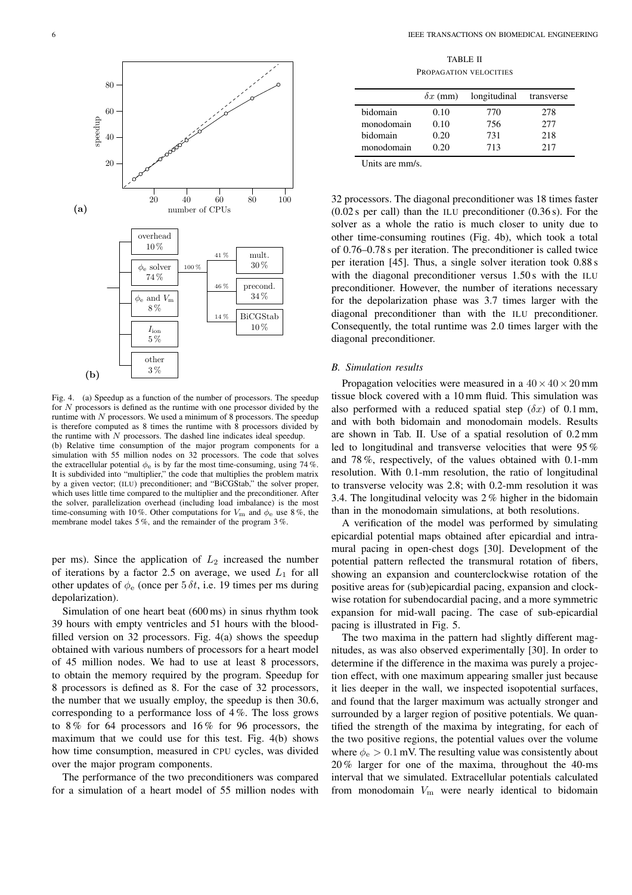

Fig. 4. (a) Speedup as a function of the number of processors. The speedup for N processors is defined as the runtime with one processor divided by the runtime with  $N$  processors. We used a minimum of 8 processors. The speedup is therefore computed as 8 times the runtime with  $\hat{8}$  processors divided by the runtime with  $N$  processors. The dashed line indicates ideal speedup. (b) Relative time consumption of the major program components for a simulation with 55 million nodes on 32 processors. The code that solves the extracellular potential  $\phi_e$  is by far the most time-consuming, using 74%. It is subdivided into "multiplier," the code that multiplies the problem matrix by a given vector; (ILU) preconditioner; and "BiCGStab," the solver proper, which uses little time compared to the multiplier and the preconditioner. After the solver, parallelization overhead (including load imbalance) is the most time-consuming with 10%. Other computations for  $V_{\rm m}$  and  $\phi_{\rm e}$  use 8%, the membrane model takes 5 %, and the remainder of the program 3 %.

per ms). Since the application of  $L_2$  increased the number of iterations by a factor 2.5 on average, we used  $L_1$  for all other updates of  $\phi_e$  (once per 5  $\delta t$ , i.e. 19 times per ms during depolarization).

Simulation of one heart beat (600 ms) in sinus rhythm took 39 hours with empty ventricles and 51 hours with the bloodfilled version on 32 processors. Fig. 4(a) shows the speedup obtained with various numbers of processors for a heart model of 45 million nodes. We had to use at least 8 processors, to obtain the memory required by the program. Speedup for 8 processors is defined as 8. For the case of 32 processors, the number that we usually employ, the speedup is then 30.6, corresponding to a performance loss of 4 %. The loss grows to 8 % for 64 processors and 16 % for 96 processors, the maximum that we could use for this test. Fig. 4(b) shows how time consumption, measured in CPU cycles, was divided over the major program components.

The performance of the two preconditioners was compared for a simulation of a heart model of 55 million nodes with

TABLE II PROPAGATION VELOCITIES

|                 | $\delta x$ (mm) | longitudinal | transverse |
|-----------------|-----------------|--------------|------------|
| <b>bidomain</b> | 0.10            | 770          | 278        |
| monodomain      | 0.10            | 756          | 2.77       |
| bidomain        | 0.20            | 731          | 218        |
| monodomain      | 0.20            | 713          | 217        |

Units are mm/s.

32 processors. The diagonal preconditioner was 18 times faster  $(0.02 \text{ s per call})$  than the ILU preconditioner  $(0.36 \text{ s})$ . For the solver as a whole the ratio is much closer to unity due to other time-consuming routines (Fig. 4b), which took a total of 0.76–0.78 s per iteration. The preconditioner is called twice per iteration [45]. Thus, a single solver iteration took 0.88 s with the diagonal preconditioner versus 1.50 s with the ILU preconditioner. However, the number of iterations necessary for the depolarization phase was 3.7 times larger with the diagonal preconditioner than with the ILU preconditioner. Consequently, the total runtime was 2.0 times larger with the diagonal preconditioner.

## *B. Simulation results*

Propagation velocities were measured in a  $40 \times 40 \times 20$  mm tissue block covered with a 10 mm fluid. This simulation was also performed with a reduced spatial step  $(\delta x)$  of 0.1 mm, and with both bidomain and monodomain models. Results are shown in Tab. II. Use of a spatial resolution of 0.2 mm led to longitudinal and transverse velocities that were 95 % and 78 %, respectively, of the values obtained with 0.1-mm resolution. With 0.1-mm resolution, the ratio of longitudinal to transverse velocity was 2.8; with 0.2-mm resolution it was 3.4. The longitudinal velocity was 2 % higher in the bidomain than in the monodomain simulations, at both resolutions.

A verification of the model was performed by simulating epicardial potential maps obtained after epicardial and intramural pacing in open-chest dogs [30]. Development of the potential pattern reflected the transmural rotation of fibers, showing an expansion and counterclockwise rotation of the positive areas for (sub)epicardial pacing, expansion and clockwise rotation for subendocardial pacing, and a more symmetric expansion for mid-wall pacing. The case of sub-epicardial pacing is illustrated in Fig. 5.

The two maxima in the pattern had slightly different magnitudes, as was also observed experimentally [30]. In order to determine if the difference in the maxima was purely a projection effect, with one maximum appearing smaller just because it lies deeper in the wall, we inspected isopotential surfaces, and found that the larger maximum was actually stronger and surrounded by a larger region of positive potentials. We quantified the strength of the maxima by integrating, for each of the two positive regions, the potential values over the volume where  $\phi_e > 0.1$  mV. The resulting value was consistently about 20 % larger for one of the maxima, throughout the 40-ms interval that we simulated. Extracellular potentials calculated from monodomain  $V<sub>m</sub>$  were nearly identical to bidomain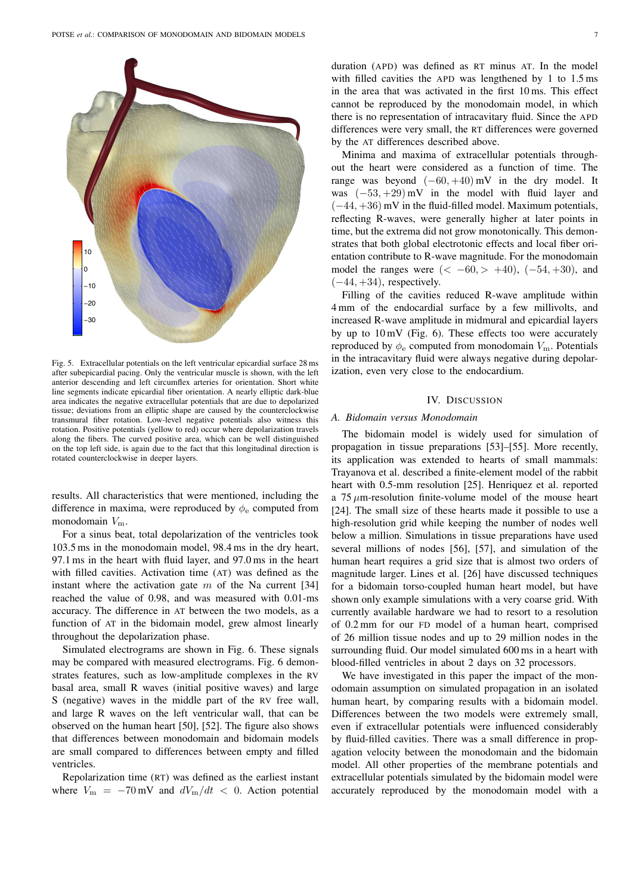

Fig. 5. Extracellular potentials on the left ventricular epicardial surface 28 ms after subepicardial pacing. Only the ventricular muscle is shown, with the left anterior descending and left circumflex arteries for orientation. Short white line segments indicate epicardial fiber orientation. A nearly elliptic dark-blue area indicates the negative extracellular potentials that are due to depolarized tissue; deviations from an elliptic shape are caused by the counterclockwise transmural fiber rotation. Low-level negative potentials also witness this rotation. Positive potentials (yellow to red) occur where depolarization travels along the fibers. The curved positive area, which can be well distinguished on the top left side, is again due to the fact that this longitudinal direction is rotated counterclockwise in deeper layers.

results. All characteristics that were mentioned, including the difference in maxima, were reproduced by  $\phi_e$  computed from monodomain  $V_{\text{m}}$ .

For a sinus beat, total depolarization of the ventricles took 103.5 ms in the monodomain model, 98.4 ms in the dry heart, 97.1 ms in the heart with fluid layer, and 97.0 ms in the heart with filled cavities. Activation time (AT) was defined as the instant where the activation gate  $m$  of the Na current [34] reached the value of 0.98, and was measured with 0.01-ms accuracy. The difference in AT between the two models, as a function of AT in the bidomain model, grew almost linearly throughout the depolarization phase.

Simulated electrograms are shown in Fig. 6. These signals may be compared with measured electrograms. Fig. 6 demonstrates features, such as low-amplitude complexes in the RV basal area, small R waves (initial positive waves) and large S (negative) waves in the middle part of the RV free wall, and large R waves on the left ventricular wall, that can be observed on the human heart [50], [52]. The figure also shows that differences between monodomain and bidomain models are small compared to differences between empty and filled ventricles.

Repolarization time (RT) was defined as the earliest instant where  $V_{\rm m} = -70 \,\text{mV}$  and  $dV_{\rm m}/dt < 0$ . Action potential

duration (APD) was defined as RT minus AT. In the model with filled cavities the APD was lengthened by 1 to 1.5 ms in the area that was activated in the first 10 ms. This effect cannot be reproduced by the monodomain model, in which there is no representation of intracavitary fluid. Since the APD differences were very small, the RT differences were governed by the AT differences described above.

Minima and maxima of extracellular potentials throughout the heart were considered as a function of time. The range was beyond  $(-60, +40)$  mV in the dry model. It was  $(-53, +29)$  mV in the model with fluid layer and  $(-44, +36)$  mV in the fluid-filled model. Maximum potentials, reflecting R-waves, were generally higher at later points in time, but the extrema did not grow monotonically. This demonstrates that both global electrotonic effects and local fiber orientation contribute to R-wave magnitude. For the monodomain model the ranges were  $(< -60, > +40)$ ,  $(-54, +30)$ , and  $(-44, +34)$ , respectively.

Filling of the cavities reduced R-wave amplitude within 4 mm of the endocardial surface by a few millivolts, and increased R-wave amplitude in midmural and epicardial layers by up to  $10 \text{ mV}$  (Fig. 6). These effects too were accurately reproduced by  $\phi_e$  computed from monodomain  $V_m$ . Potentials in the intracavitary fluid were always negative during depolarization, even very close to the endocardium.

## IV. DISCUSSION

## *A. Bidomain versus Monodomain*

The bidomain model is widely used for simulation of propagation in tissue preparations [53]–[55]. More recently, its application was extended to hearts of small mammals: Trayanova et al. described a finite-element model of the rabbit heart with 0.5-mm resolution [25]. Henriquez et al. reported a  $75 \mu$ m-resolution finite-volume model of the mouse heart [24]. The small size of these hearts made it possible to use a high-resolution grid while keeping the number of nodes well below a million. Simulations in tissue preparations have used several millions of nodes [56], [57], and simulation of the human heart requires a grid size that is almost two orders of magnitude larger. Lines et al. [26] have discussed techniques for a bidomain torso-coupled human heart model, but have shown only example simulations with a very coarse grid. With currently available hardware we had to resort to a resolution of 0.2 mm for our FD model of a human heart, comprised of 26 million tissue nodes and up to 29 million nodes in the surrounding fluid. Our model simulated 600 ms in a heart with blood-filled ventricles in about 2 days on 32 processors.

We have investigated in this paper the impact of the monodomain assumption on simulated propagation in an isolated human heart, by comparing results with a bidomain model. Differences between the two models were extremely small, even if extracellular potentials were influenced considerably by fluid-filled cavities. There was a small difference in propagation velocity between the monodomain and the bidomain model. All other properties of the membrane potentials and extracellular potentials simulated by the bidomain model were accurately reproduced by the monodomain model with a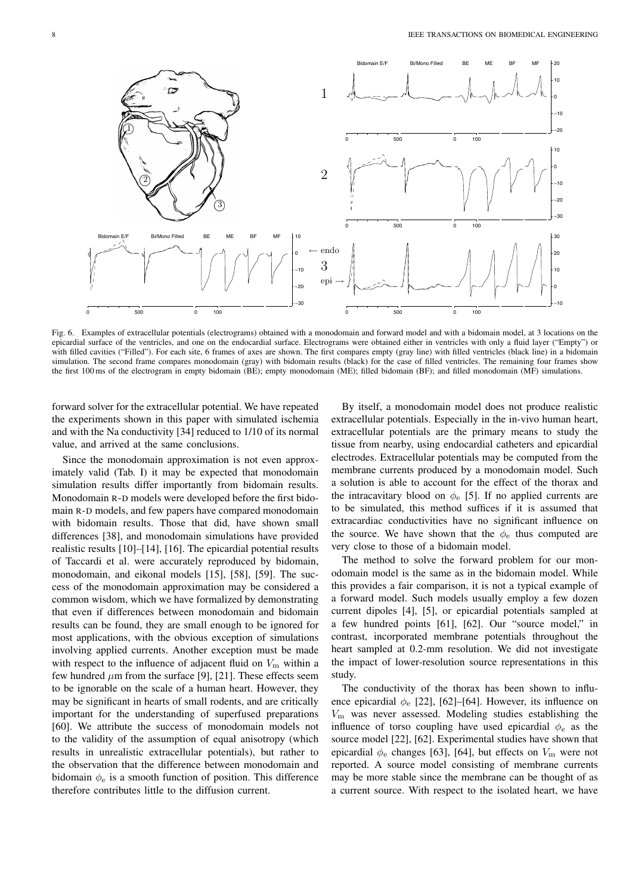

Fig. 6. Examples of extracellular potentials (electrograms) obtained with a monodomain and forward model and with a bidomain model, at 3 locations on the epicardial surface of the ventricles, and one on the endocardial surface. Electrograms were obtained either in ventricles with only a fluid layer ("Empty") or with filled cavities ("Filled"). For each site, 6 frames of axes are shown. The first compares empty (gray line) with filled ventricles (black line) in a bidomain simulation. The second frame compares monodomain (gray) with bidomain results (black) for the case of filled ventricles. The remaining four frames show the first 100 ms of the electrogram in empty bidomain (BE); empty monodomain (ME); filled bidomain (BF); and filled monodomain (MF) simulations.

forward solver for the extracellular potential. We have repeated the experiments shown in this paper with simulated ischemia and with the Na conductivity [34] reduced to 1/10 of its normal value, and arrived at the same conclusions.

Since the monodomain approximation is not even approximately valid (Tab. I) it may be expected that monodomain simulation results differ importantly from bidomain results. Monodomain R-D models were developed before the first bidomain R-D models, and few papers have compared monodomain with bidomain results. Those that did, have shown small differences [38], and monodomain simulations have provided realistic results [10]–[14], [16]. The epicardial potential results of Taccardi et al. were accurately reproduced by bidomain, monodomain, and eikonal models [15], [58], [59]. The success of the monodomain approximation may be considered a common wisdom, which we have formalized by demonstrating that even if differences between monodomain and bidomain results can be found, they are small enough to be ignored for most applications, with the obvious exception of simulations involving applied currents. Another exception must be made with respect to the influence of adjacent fluid on  $V<sub>m</sub>$  within a few hundred  $\mu$ m from the surface [9], [21]. These effects seem to be ignorable on the scale of a human heart. However, they may be significant in hearts of small rodents, and are critically important for the understanding of superfused preparations [60]. We attribute the success of monodomain models not to the validity of the assumption of equal anisotropy (which results in unrealistic extracellular potentials), but rather to the observation that the difference between monodomain and bidomain  $\phi_e$  is a smooth function of position. This difference therefore contributes little to the diffusion current.

By itself, a monodomain model does not produce realistic extracellular potentials. Especially in the in-vivo human heart, extracellular potentials are the primary means to study the tissue from nearby, using endocardial catheters and epicardial electrodes. Extracellular potentials may be computed from the membrane currents produced by a monodomain model. Such a solution is able to account for the effect of the thorax and the intracavitary blood on  $\phi_e$  [5]. If no applied currents are to be simulated, this method suffices if it is assumed that extracardiac conductivities have no significant influence on the source. We have shown that the  $\phi_e$  thus computed are very close to those of a bidomain model.

The method to solve the forward problem for our monodomain model is the same as in the bidomain model. While this provides a fair comparison, it is not a typical example of a forward model. Such models usually employ a few dozen current dipoles [4], [5], or epicardial potentials sampled at a few hundred points [61], [62]. Our "source model," in contrast, incorporated membrane potentials throughout the heart sampled at 0.2-mm resolution. We did not investigate the impact of lower-resolution source representations in this study.

The conductivity of the thorax has been shown to influence epicardial  $\phi_e$  [22], [62]–[64]. However, its influence on  $V<sub>m</sub>$  was never assessed. Modeling studies establishing the influence of torso coupling have used epicardial  $\phi_e$  as the source model [22], [62]. Experimental studies have shown that epicardial  $\phi_e$  changes [63], [64], but effects on  $V_m$  were not reported. A source model consisting of membrane currents may be more stable since the membrane can be thought of as a current source. With respect to the isolated heart, we have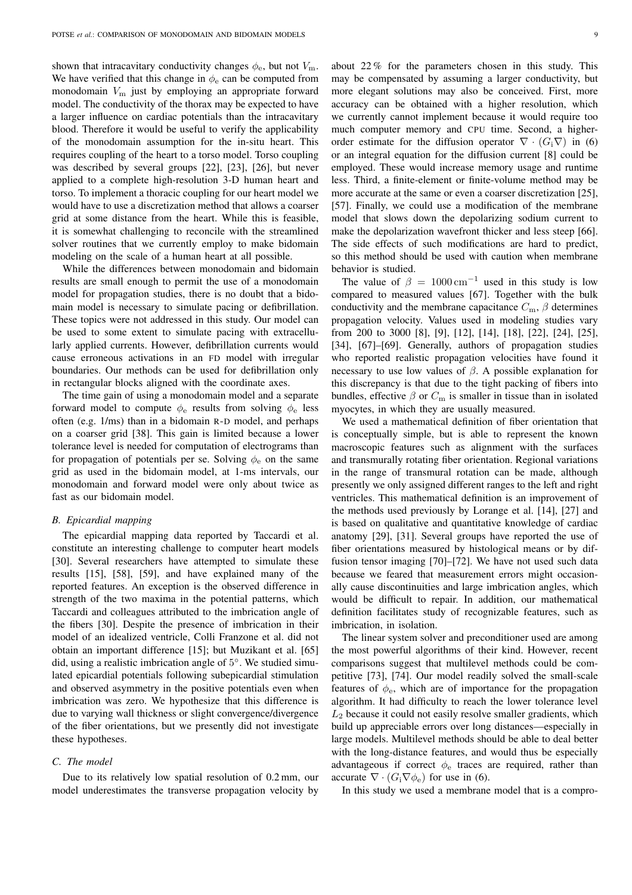shown that intracavitary conductivity changes  $\phi_e$ , but not  $V_m$ . We have verified that this change in  $\phi_e$  can be computed from monodomain  $V<sub>m</sub>$  just by employing an appropriate forward model. The conductivity of the thorax may be expected to have a larger influence on cardiac potentials than the intracavitary blood. Therefore it would be useful to verify the applicability of the monodomain assumption for the in-situ heart. This requires coupling of the heart to a torso model. Torso coupling was described by several groups [22], [23], [26], but never applied to a complete high-resolution 3-D human heart and torso. To implement a thoracic coupling for our heart model we would have to use a discretization method that allows a coarser grid at some distance from the heart. While this is feasible, it is somewhat challenging to reconcile with the streamlined solver routines that we currently employ to make bidomain modeling on the scale of a human heart at all possible.

While the differences between monodomain and bidomain results are small enough to permit the use of a monodomain model for propagation studies, there is no doubt that a bidomain model is necessary to simulate pacing or defibrillation. These topics were not addressed in this study. Our model can be used to some extent to simulate pacing with extracellularly applied currents. However, defibrillation currents would cause erroneous activations in an FD model with irregular boundaries. Our methods can be used for defibrillation only in rectangular blocks aligned with the coordinate axes.

The time gain of using a monodomain model and a separate forward model to compute  $\phi_e$  results from solving  $\phi_e$  less often (e.g. 1/ms) than in a bidomain R-D model, and perhaps on a coarser grid [38]. This gain is limited because a lower tolerance level is needed for computation of electrograms than for propagation of potentials per se. Solving  $\phi_e$  on the same grid as used in the bidomain model, at 1-ms intervals, our monodomain and forward model were only about twice as fast as our bidomain model.

## *B. Epicardial mapping*

The epicardial mapping data reported by Taccardi et al. constitute an interesting challenge to computer heart models [30]. Several researchers have attempted to simulate these results [15], [58], [59], and have explained many of the reported features. An exception is the observed difference in strength of the two maxima in the potential patterns, which Taccardi and colleagues attributed to the imbrication angle of the fibers [30]. Despite the presence of imbrication in their model of an idealized ventricle, Colli Franzone et al. did not obtain an important difference [15]; but Muzikant et al. [65] did, using a realistic imbrication angle of 5 ◦ . We studied simulated epicardial potentials following subepicardial stimulation and observed asymmetry in the positive potentials even when imbrication was zero. We hypothesize that this difference is due to varying wall thickness or slight convergence/divergence of the fiber orientations, but we presently did not investigate these hypotheses.

## *C. The model*

Due to its relatively low spatial resolution of 0.2 mm, our model underestimates the transverse propagation velocity by

about 22 % for the parameters chosen in this study. This may be compensated by assuming a larger conductivity, but more elegant solutions may also be conceived. First, more accuracy can be obtained with a higher resolution, which we currently cannot implement because it would require too much computer memory and CPU time. Second, a higherorder estimate for the diffusion operator  $\nabla \cdot (G_i \nabla)$  in (6) or an integral equation for the diffusion current [8] could be employed. These would increase memory usage and runtime less. Third, a finite-element or finite-volume method may be more accurate at the same or even a coarser discretization [25], [57]. Finally, we could use a modification of the membrane model that slows down the depolarizing sodium current to make the depolarization wavefront thicker and less steep [66]. The side effects of such modifications are hard to predict, so this method should be used with caution when membrane behavior is studied.

The value of  $\beta = 1000 \text{ cm}^{-1}$  used in this study is low compared to measured values [67]. Together with the bulk conductivity and the membrane capacitance  $C_{\text{m}}$ ,  $\beta$  determines propagation velocity. Values used in modeling studies vary from 200 to 3000 [8], [9], [12], [14], [18], [22], [24], [25], [34], [67]–[69]. Generally, authors of propagation studies who reported realistic propagation velocities have found it necessary to use low values of  $\beta$ . A possible explanation for this discrepancy is that due to the tight packing of fibers into bundles, effective  $\beta$  or  $C_m$  is smaller in tissue than in isolated myocytes, in which they are usually measured.

We used a mathematical definition of fiber orientation that is conceptually simple, but is able to represent the known macroscopic features such as alignment with the surfaces and transmurally rotating fiber orientation. Regional variations in the range of transmural rotation can be made, although presently we only assigned different ranges to the left and right ventricles. This mathematical definition is an improvement of the methods used previously by Lorange et al. [14], [27] and is based on qualitative and quantitative knowledge of cardiac anatomy [29], [31]. Several groups have reported the use of fiber orientations measured by histological means or by diffusion tensor imaging [70]–[72]. We have not used such data because we feared that measurement errors might occasionally cause discontinuities and large imbrication angles, which would be difficult to repair. In addition, our mathematical definition facilitates study of recognizable features, such as imbrication, in isolation.

The linear system solver and preconditioner used are among the most powerful algorithms of their kind. However, recent comparisons suggest that multilevel methods could be competitive [73], [74]. Our model readily solved the small-scale features of  $\phi_e$ , which are of importance for the propagation algorithm. It had difficulty to reach the lower tolerance level  $L_2$  because it could not easily resolve smaller gradients, which build up appreciable errors over long distances—especially in large models. Multilevel methods should be able to deal better with the long-distance features, and would thus be especially advantageous if correct  $\phi_e$  traces are required, rather than accurate  $\nabla \cdot (G_i \nabla \phi_e)$  for use in (6).

In this study we used a membrane model that is a compro-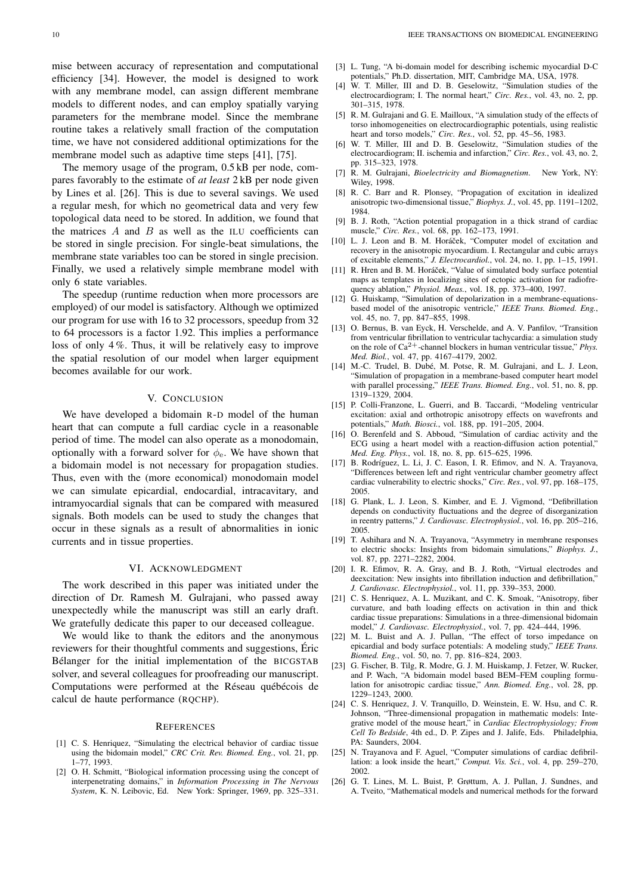The memory usage of the program, 0.5 kB per node, compares favorably to the estimate of *at least* 2 kB per node given by Lines et al. [26]. This is due to several savings. We used a regular mesh, for which no geometrical data and very few topological data need to be stored. In addition, we found that the matrices  $A$  and  $B$  as well as the ILU coefficients can be stored in single precision. For single-beat simulations, the membrane state variables too can be stored in single precision. Finally, we used a relatively simple membrane model with only 6 state variables.

The speedup (runtime reduction when more processors are employed) of our model is satisfactory. Although we optimized our program for use with 16 to 32 processors, speedup from 32 to 64 processors is a factor 1.92. This implies a performance loss of only 4 %. Thus, it will be relatively easy to improve the spatial resolution of our model when larger equipment becomes available for our work.

## V. CONCLUSION

We have developed a bidomain R-D model of the human heart that can compute a full cardiac cycle in a reasonable period of time. The model can also operate as a monodomain, optionally with a forward solver for  $\phi_e$ . We have shown that a bidomain model is not necessary for propagation studies. Thus, even with the (more economical) monodomain model we can simulate epicardial, endocardial, intracavitary, and intramyocardial signals that can be compared with measured signals. Both models can be used to study the changes that occur in these signals as a result of abnormalities in ionic currents and in tissue properties.

#### VI. ACKNOWLEDGMENT

The work described in this paper was initiated under the direction of Dr. Ramesh M. Gulrajani, who passed away unexpectedly while the manuscript was still an early draft. We gratefully dedicate this paper to our deceased colleague.

We would like to thank the editors and the anonymous reviewers for their thoughtful comments and suggestions, Éric Bélanger for the initial implementation of the BICGSTAB solver, and several colleagues for proofreading our manuscript. Computations were performed at the Réseau québécois de calcul de haute performance (RQCHP).

#### **REFERENCES**

- [1] C. S. Henriquez, "Simulating the electrical behavior of cardiac tissue using the bidomain model," *CRC Crit. Rev. Biomed. Eng.*, vol. 21, pp. 1–77, 1993.
- [2] O. H. Schmitt, "Biological information processing using the concept of interpenetrating domains," in *Information Processing in The Nervous System*, K. N. Leibovic, Ed. New York: Springer, 1969, pp. 325–331.
- [3] L. Tung, "A bi-domain model for describing ischemic myocardial D-C potentials," Ph.D. dissertation, MIT, Cambridge MA, USA, 1978.
- [4] W. T. Miller, III and D. B. Geselowitz, "Simulation studies of the electrocardiogram; I. The normal heart," *Circ. Res.*, vol. 43, no. 2, pp. 301–315, 1978.
- [5] R. M. Gulrajani and G. E. Mailloux, "A simulation study of the effects of torso inhomogeneities on electrocardiographic potentials, using realistic heart and torso models," *Circ. Res.*, vol. 52, pp. 45–56, 1983.
- [6] W. T. Miller, III and D. B. Geselowitz, "Simulation studies of the electrocardiogram; II. ischemia and infarction," *Circ. Res.*, vol. 43, no. 2, pp. 315–323, 1978.
- [7] R. M. Gulrajani, *Bioelectricity and Biomagnetism*. New York, NY: Wiley, 1998.
- [8] R. C. Barr and R. Plonsey, "Propagation of excitation in idealized anisotropic two-dimensional tissue," *Biophys. J.*, vol. 45, pp. 1191–1202, 1984.
- [9] B. J. Roth, "Action potential propagation in a thick strand of cardiac muscle," *Circ. Res.*, vol. 68, pp. 162–173, 1991.
- [10] L. J. Leon and B. M. Horáček, "Computer model of excitation and recovery in the anisotropic myocardium. I. Rectangular and cubic arrays of excitable elements," *J. Electrocardiol.*, vol. 24, no. 1, pp. 1–15, 1991.
- [11] R. Hren and B. M. Horáček, "Value of simulated body surface potential maps as templates in localizing sites of ectopic activation for radiofrequency ablation," *Physiol. Meas.*, vol. 18, pp. 373–400, 1997.
- [12] G. Huiskamp, "Simulation of depolarization in a membrane-equationsbased model of the anisotropic ventricle," *IEEE Trans. Biomed. Eng.*, vol. 45, no. 7, pp. 847–855, 1998.
- [13] O. Bernus, B. van Eyck, H. Verschelde, and A. V. Panfilov, "Transition from ventricular fibrillation to ventricular tachycardia: a simulation study on the role of  $Ca^{2+}$ -channel blockers in human ventricular tissue," *Phys. Med. Biol.*, vol. 47, pp. 4167–4179, 2002.
- [14] M.-C. Trudel, B. Dubé, M. Potse, R. M. Gulrajani, and L. J. Leon, "Simulation of propagation in a membrane-based computer heart model with parallel processing," *IEEE Trans. Biomed. Eng.*, vol. 51, no. 8, pp. 1319–1329, 2004.
- [15] P. Colli-Franzone, L. Guerri, and B. Taccardi, "Modeling ventricular excitation: axial and orthotropic anisotropy effects on wavefronts and potentials," *Math. Biosci.*, vol. 188, pp. 191–205, 2004.
- [16] O. Berenfeld and S. Abboud, "Simulation of cardiac activity and the ECG using a heart model with a reaction-diffusion action potential," *Med. Eng. Phys.*, vol. 18, no. 8, pp. 615–625, 1996.
- [17] B. Rodríguez, L. Li, J. C. Eason, I. R. Efimov, and N. A. Trayanova, "Differences between left and right ventricular chamber geometry affect cardiac vulnerability to electric shocks," *Circ. Res.*, vol. 97, pp. 168–175, 2005.
- [18] G. Plank, L. J. Leon, S. Kimber, and E. J. Vigmond. "Defibrillation depends on conductivity fluctuations and the degree of disorganization in reentry patterns," *J. Cardiovasc. Electrophysiol.*, vol. 16, pp. 205–216, 2005.
- [19] T. Ashihara and N. A. Trayanova, "Asymmetry in membrane responses to electric shocks: Insights from bidomain simulations," *Biophys. J.*, vol. 87, pp. 2271–2282, 2004.
- [20] I. R. Efimov, R. A. Gray, and B. J. Roth, "Virtual electrodes and deexcitation: New insights into fibrillation induction and defibrillation," *J. Cardiovasc. Electrophysiol.*, vol. 11, pp. 339–353, 2000.
- [21] C. S. Henriquez, A. L. Muzikant, and C. K. Smoak, "Anisotropy, fiber curvature, and bath loading effects on activation in thin and thick cardiac tissue preparations: Simulations in a three-dimensional bidomain model," *J. Cardiovasc. Electrophysiol.*, vol. 7, pp. 424–444, 1996.
- [22] M. L. Buist and A. J. Pullan, "The effect of torso impedance on epicardial and body surface potentials: A modeling study," *IEEE Trans. Biomed. Eng.*, vol. 50, no. 7, pp. 816–824, 2003.
- [23] G. Fischer, B. Tilg, R. Modre, G. J. M. Huiskamp, J. Fetzer, W. Rucker, and P. Wach, "A bidomain model based BEM–FEM coupling formulation for anisotropic cardiac tissue," *Ann. Biomed. Eng.*, vol. 28, pp. 1229–1243, 2000.
- [24] C. S. Henriquez, J. V. Tranquillo, D. Weinstein, E. W. Hsu, and C. R. Johnson, "Three-dimensional propagation in mathematic models: Integrative model of the mouse heart," in *Cardiac Electrophysiology; From Cell To Bedside*, 4th ed., D. P. Zipes and J. Jalife, Eds. Philadelphia, PA: Saunders, 2004.
- [25] N. Trayanova and F. Aguel, "Computer simulations of cardiac defibrillation: a look inside the heart," *Comput. Vis. Sci.*, vol. 4, pp. 259–270, 2002.
- [26] G. T. Lines, M. L. Buist, P. Grøttum, A. J. Pullan, J. Sundnes, and A. Tveito, "Mathematical models and numerical methods for the forward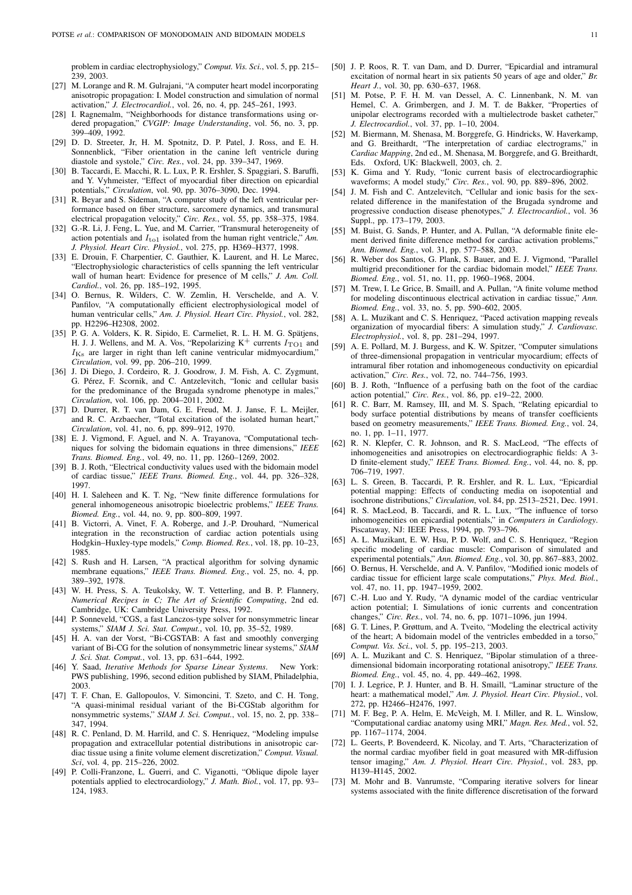problem in cardiac electrophysiology," *Comput. Vis. Sci.*, vol. 5, pp. 215– 239, 2003.

- [27] M. Lorange and R. M. Gulrajani, "A computer heart model incorporating anisotropic propagation: I. Model construction and simulation of normal activation," *J. Electrocardiol.*, vol. 26, no. 4, pp. 245–261, 1993.
- [28] I. Ragnemalm, "Neighborhoods for distance transformations using ordered propagation," *CVGIP: Image Understanding*, vol. 56, no. 3, pp. 399–409, 1992.
- [29] D. D. Streeter, Jr, H. M. Spotnitz, D. P. Patel, J. Ross, and E. H. Sonnenblick, "Fiber orientation in the canine left ventricle during diastole and systole," *Circ. Res.*, vol. 24, pp. 339–347, 1969.
- [30] B. Taccardi, E. Macchi, R. L. Lux, P. R. Ershler, S. Spaggiari, S. Baruffi, and Y. Vyhmeister, "Effect of myocardial fiber direction on epicardial potentials," *Circulation*, vol. 90, pp. 3076–3090, Dec. 1994.
- [31] R. Beyar and S. Sideman, "A computer study of the left ventricular performance based on fiber structure, sarcomere dynamics, and transmural electrical propagation velocity," *Circ. Res.*, vol. 55, pp. 358–375, 1984.
- [32] G.-R. Li, J. Feng, L. Yue, and M. Carrier, "Transmural heterogeneity of action potentials and  $I_{\text{to}1}$  isolated from the human right ventricle," Am. *J. Physiol. Heart Circ. Physiol.*, vol. 275, pp. H369–H377, 1998.
- [33] E. Drouin, F. Charpentier, C. Gauthier, K. Laurent, and H. Le Marec, "Electrophysiologic characteristics of cells spanning the left ventricular wall of human heart: Evidence for presence of M cells," *J. Am. Coll. Cardiol.*, vol. 26, pp. 185–192, 1995.
- [34] O. Bernus, R. Wilders, C. W. Zemlin, H. Verschelde, and A. V. Panfilov, "A computationally efficient electrophysiological model of human ventricular cells," *Am. J. Physiol. Heart Circ. Physiol.*, vol. 282, pp. H2296–H2308, 2002.
- [35] P. G. A. Volders, K. R. Sipido, E. Carmeliet, R. L. H. M. G. Spätjens, H. J. J. Wellens, and M. A. Vos, "Repolarizing  $K^+$  currents  $I_{\text{TO1}}$  and  $I_{\text{Ks}}$  are larger in right than left canine ventricular midmyocardium," *Circulation*, vol. 99, pp. 206–210, 1999.
- [36] J. Di Diego, J. Cordeiro, R. J. Goodrow, J. M. Fish, A. C. Zygmunt, G. Pérez, F. Scornik, and C. Antzelevitch, "Ionic and cellular basis for the predominance of the Brugada syndrome phenotype in males," *Circulation*, vol. 106, pp. 2004–2011, 2002.
- [37] D. Durrer, R. T. van Dam, G. E. Freud, M. J. Janse, F. L. Meijler, and R. C. Arzbaecher, "Total excitation of the isolated human heart," *Circulation*, vol. 41, no. 6, pp. 899–912, 1970.
- [38] E. J. Vigmond, F. Aguel, and N. A. Trayanova, "Computational techniques for solving the bidomain equations in three dimensions," *IEEE Trans. Biomed. Eng.*, vol. 49, no. 11, pp. 1260–1269, 2002.
- [39] B. J. Roth, "Electrical conductivity values used with the bidomain model of cardiac tissue," *IEEE Trans. Biomed. Eng.*, vol. 44, pp. 326–328, 1997.
- [40] H. I. Saleheen and K. T. Ng, "New finite difference formulations for general inhomogeneous anisotropic bioelectric problems," *IEEE Trans. Biomed. Eng.*, vol. 44, no. 9, pp. 800–809, 1997.
- [41] B. Victorri, A. Vinet, F. A. Roberge, and J.-P. Drouhard, "Numerical integration in the reconstruction of cardiac action potentials using Hodgkin–Huxley-type models," *Comp. Biomed. Res.*, vol. 18, pp. 10–23, 1985.
- [42] S. Rush and H. Larsen, "A practical algorithm for solving dynamic membrane equations," *IEEE Trans. Biomed. Eng.*, vol. 25, no. 4, pp. 389–392, 1978.
- [43] W. H. Press, S. A. Teukolsky, W. T. Vetterling, and B. P. Flannery, *Numerical Recipes in C; The Art of Scientific Computing*, 2nd ed. Cambridge, UK: Cambridge University Press, 1992.
- [44] P. Sonneveld, "CGS, a fast Lanczos-type solver for nonsymmetric linear systems," *SIAM J. Sci. Stat. Comput.*, vol. 10, pp. 35–52, 1989.
- [45] H. A. van der Vorst, "Bi-CGSTAB: A fast and smoothly converging variant of Bi-CG for the solution of nonsymmetric linear systems," *SIAM J. Sci. Stat. Comput.*, vol. 13, pp. 631–644, 1992.
- [46] Y. Saad, *Iterative Methods for Sparse Linear Systems*. New York: PWS publishing, 1996, second edition published by SIAM, Philadelphia, 2003.
- [47] T. F. Chan, E. Gallopoulos, V. Simoncini, T. Szeto, and C. H. Tong, "A quasi-minimal residual variant of the Bi-CGStab algorithm for nonsymmetric systems," *SIAM J. Sci. Comput.*, vol. 15, no. 2, pp. 338– 347, 1994.
- [48] R. C. Penland, D. M. Harrild, and C. S. Henriquez, "Modeling impulse propagation and extracellular potential distributions in anisotropic cardiac tissue using a finite volume element discretization," *Comput. Visual. Sci*, vol. 4, pp. 215–226, 2002.
- [49] P. Colli-Franzone, L. Guerri, and C. Viganotti, "Oblique dipole layer potentials applied to electrocardiology," *J. Math. Biol.*, vol. 17, pp. 93– 124, 1983.
- [50] J. P. Roos, R. T. van Dam, and D. Durrer, "Epicardial and intramural excitation of normal heart in six patients 50 years of age and older," *Br. Heart J.*, vol. 30, pp. 630–637, 1968.
- [51] M. Potse, P. F. H. M. van Dessel, A. C. Linnenbank, N. M. van Hemel, C. A. Grimbergen, and J. M. T. de Bakker, "Properties of unipolar electrograms recorded with a multielectrode basket catheter." *J. Electrocardiol.*, vol. 37, pp. 1–10, 2004.
- [52] M. Biermann, M. Shenasa, M. Borggrefe, G. Hindricks, W. Haverkamp, and G. Breithardt, "The interpretation of cardiac electrograms," in *Cardiac Mapping*, 2nd ed., M. Shenasa, M. Borggrefe, and G. Breithardt, Eds. Oxford, UK: Blackwell, 2003, ch. 2.
- [53] K. Gima and Y. Rudy, "Ionic current basis of electrocardiographic waveforms; A model study," *Circ. Res.*, vol. 90, pp. 889–896, 2002.
- [54] J. M. Fish and C. Antzelevitch, "Cellular and ionic basis for the sexrelated difference in the manifestation of the Brugada syndrome and progressive conduction disease phenotypes," *J. Electrocardiol.*, vol. 36 Suppl., pp. 173–179, 2003.
- [55] M. Buist, G. Sands, P. Hunter, and A. Pullan, "A deformable finite element derived finite difference method for cardiac activation problems," *Ann. Biomed. Eng.*, vol. 31, pp. 577–588, 2003.
- [56] R. Weber dos Santos, G. Plank, S. Bauer, and E. J. Vigmond, "Parallel multigrid preconditioner for the cardiac bidomain model," *IEEE Trans. Biomed. Eng.*, vol. 51, no. 11, pp. 1960–1968, 2004.
- [57] M. Trew, I. Le Grice, B. Smaill, and A. Pullan, "A finite volume method for modeling discontinuous electrical activation in cardiac tissue," *Ann. Biomed. Eng.*, vol. 33, no. 5, pp. 590–602, 2005.
- [58] A. L. Muzikant and C. S. Henriquez, "Paced activation mapping reveals organization of myocardial fibers: A simulation study," *J. Cardiovasc. Electrophysiol.*, vol. 8, pp. 281–294, 1997.
- [59] A. E. Pollard, M. J. Burgess, and K. W. Spitzer, "Computer simulations of three-dimensional propagation in ventricular myocardium; effects of intramural fiber rotation and inhomogeneous conductivity on epicardial activation," *Circ. Res.*, vol. 72, no. 744–756, 1993.
- [60] B. J. Roth, "Influence of a perfusing bath on the foot of the cardiac action potential," *Circ. Res.*, vol. 86, pp. e19–22, 2000.
- [61] R. C. Barr, M. Ramsey, III, and M. S. Spach, "Relating epicardial to body surface potential distributions by means of transfer coefficients based on geometry measurements," *IEEE Trans. Biomed. Eng.*, vol. 24, no. 1, pp. 1–11, 1977.
- [62] R. N. Klepfer, C. R. Johnson, and R. S. MacLeod, "The effects of inhomogeneities and anisotropies on electrocardiographic fields: A 3- D finite-element study," *IEEE Trans. Biomed. Eng.*, vol. 44, no. 8, pp. 706–719, 1997.
- [63] L. S. Green, B. Taccardi, P. R. Ershler, and R. L. Lux, "Epicardial potential mapping: Effects of conducting media on isopotential and isochrone distributions," *Circulation*, vol. 84, pp. 2513–2521, Dec. 1991.
- [64] R. S. MacLeod, B. Taccardi, and R. L. Lux, "The influence of torso inhomogeneities on epicardial potentials," in *Computers in Cardiology*. Piscataway, NJ: IEEE Press, 1994, pp. 793–796.
- [65] A. L. Muzikant, E. W. Hsu, P. D. Wolf, and C. S. Henriquez, "Region specific modeling of cardiac muscle: Comparison of simulated and experimental potentials," *Ann. Biomed. Eng.*, vol. 30, pp. 867–883, 2002.
- [66] O. Bernus, H. Verschelde, and A. V. Panfilov, "Modified ionic models of cardiac tissue for efficient large scale computations," *Phys. Med. Biol.*, vol. 47, no. 11, pp. 1947–1959, 2002.
- [67] C.-H. Luo and Y. Rudy, "A dynamic model of the cardiac ventricular action potential; I. Simulations of ionic currents and concentration changes," *Circ. Res.*, vol. 74, no. 6, pp. 1071–1096, jun 1994.
- [68] G. T. Lines, P. Grøttum, and A. Tveito, "Modeling the electrical activity of the heart; A bidomain model of the ventricles embedded in a torso," *Comput. Vis. Sci.*, vol. 5, pp. 195–213, 2003.
- A. L. Muzikant and C. S. Henriquez, "Bipolar stimulation of a threedimensional bidomain incorporating rotational anisotropy," *IEEE Trans. Biomed. Eng.*, vol. 45, no. 4, pp. 449–462, 1998.
- [70] I. J. Legrice, P. J. Hunter, and B. H. Smaill, "Laminar structure of the heart: a mathematical model," *Am. J. Physiol. Heart Circ. Physiol.*, vol. 272, pp. H2466–H2476, 1997.
- [71] M. F. Beg, P. A. Helm, E. McVeigh, M. I. Miller, and R. L. Winslow, "Computational cardiac anatomy using MRI," *Magn. Res. Med.*, vol. 52, pp. 1167–1174, 2004.
- [72] L. Geerts, P. Bovendeerd, K. Nicolay, and T. Arts, "Characterization of the normal cardiac myofiber field in goat measured with MR-diffusion tensor imaging," *Am. J. Physiol. Heart Circ. Physiol.*, vol. 283, pp. H139–H145, 2002.
- [73] M. Mohr and B. Vanrumste, "Comparing iterative solvers for linear systems associated with the finite difference discretisation of the forward